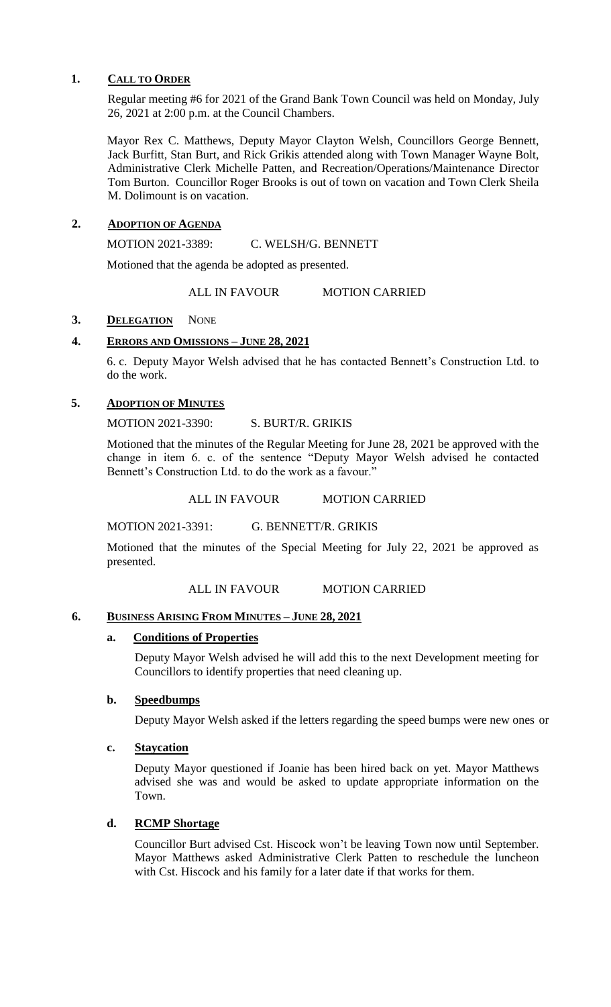## **1. CALL TO ORDER**

Regular meeting #6 for 2021 of the Grand Bank Town Council was held on Monday, July 26, 2021 at 2:00 p.m. at the Council Chambers.

Mayor Rex C. Matthews, Deputy Mayor Clayton Welsh, Councillors George Bennett, Jack Burfitt, Stan Burt, and Rick Grikis attended along with Town Manager Wayne Bolt, Administrative Clerk Michelle Patten, and Recreation/Operations/Maintenance Director Tom Burton. Councillor Roger Brooks is out of town on vacation and Town Clerk Sheila M. Dolimount is on vacation.

## **2. ADOPTION OF AGENDA**

MOTION 2021-3389: C. WELSH/G. BENNETT

Motioned that the agenda be adopted as presented.

ALL IN FAVOUR MOTION CARRIED

## 3. **DELEGATION** NONE

## **4. ERRORS AND OMISSIONS – JUNE 28, 2021**

6. c. Deputy Mayor Welsh advised that he has contacted Bennett's Construction Ltd. to do the work.

## **5. ADOPTION OF MINUTES**

MOTION 2021-3390: S. BURT/R. GRIKIS

Motioned that the minutes of the Regular Meeting for June 28, 2021 be approved with the change in item 6. c. of the sentence "Deputy Mayor Welsh advised he contacted Bennett's Construction Ltd. to do the work as a favour."

ALL IN FAVOUR MOTION CARRIED

MOTION 2021-3391: G. BENNETT/R. GRIKIS

Motioned that the minutes of the Special Meeting for July 22, 2021 be approved as presented.

ALL IN FAVOUR MOTION CARRIED

## **6. BUSINESS ARISING FROM MINUTES – JUNE 28, 2021**

## **a. Conditions of Properties**

Deputy Mayor Welsh advised he will add this to the next Development meeting for Councillors to identify properties that need cleaning up.

## **b. Speedbumps**

Deputy Mayor Welsh asked if the letters regarding the speed bumps were new ones or

## **c. Staycation**

Deputy Mayor questioned if Joanie has been hired back on yet. Mayor Matthews advised she was and would be asked to update appropriate information on the Town.

## **d. RCMP Shortage**

Councillor Burt advised Cst. Hiscock won't be leaving Town now until September. Mayor Matthews asked Administrative Clerk Patten to reschedule the luncheon with Cst. Hiscock and his family for a later date if that works for them.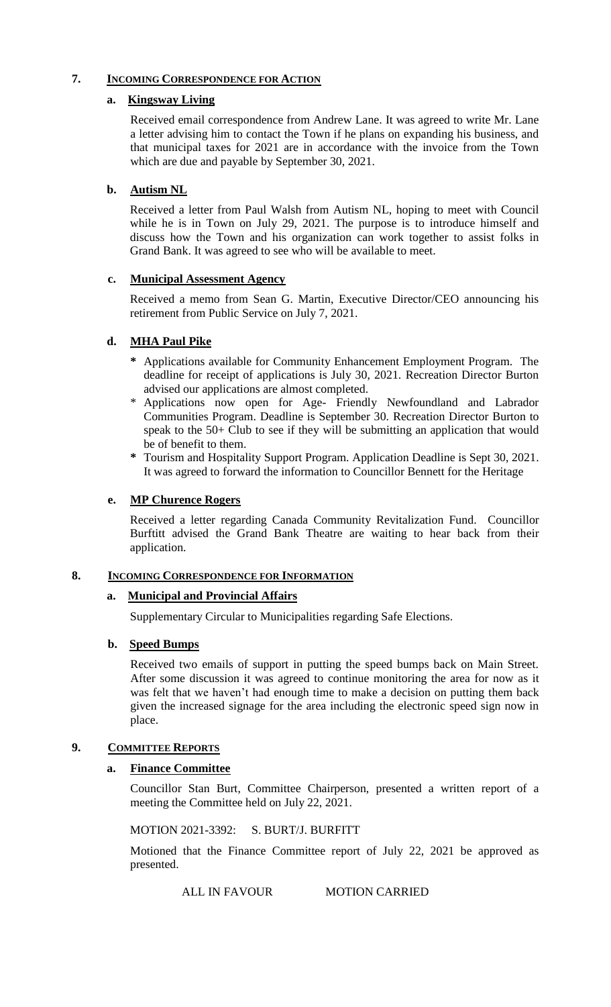## **7. INCOMING CORRESPONDENCE FOR ACTION**

## **a. Kingsway Living**

Received email correspondence from Andrew Lane. It was agreed to write Mr. Lane a letter advising him to contact the Town if he plans on expanding his business, and that municipal taxes for 2021 are in accordance with the invoice from the Town which are due and payable by September 30, 2021.

## **b. Autism NL**

Received a letter from Paul Walsh from Autism NL, hoping to meet with Council while he is in Town on July 29, 2021. The purpose is to introduce himself and discuss how the Town and his organization can work together to assist folks in Grand Bank. It was agreed to see who will be available to meet.

## **c. Municipal Assessment Agency**

Received a memo from Sean G. Martin, Executive Director/CEO announcing his retirement from Public Service on July 7, 2021.

# **d. MHA Paul Pike**

- **\*** Applications available for Community Enhancement Employment Program. The deadline for receipt of applications is July 30, 2021. Recreation Director Burton advised our applications are almost completed.
- Applications now open for Age- Friendly Newfoundland and Labrador Communities Program. Deadline is September 30. Recreation Director Burton to speak to the 50+ Club to see if they will be submitting an application that would be of benefit to them.
- **\*** Tourism and Hospitality Support Program. Application Deadline is Sept 30, 2021. It was agreed to forward the information to Councillor Bennett for the Heritage

## **e. MP Churence Rogers**

Received a letter regarding Canada Community Revitalization Fund. Councillor Burftitt advised the Grand Bank Theatre are waiting to hear back from their application.

## **8. INCOMING CORRESPONDENCE FOR INFORMATION**

## **a. Municipal and Provincial Affairs**

Supplementary Circular to Municipalities regarding Safe Elections.

## **b. Speed Bumps**

Received two emails of support in putting the speed bumps back on Main Street. After some discussion it was agreed to continue monitoring the area for now as it was felt that we haven't had enough time to make a decision on putting them back given the increased signage for the area including the electronic speed sign now in place.

## **9. COMMITTEE REPORTS**

## **a. Finance Committee**

Councillor Stan Burt, Committee Chairperson, presented a written report of a meeting the Committee held on July 22, 2021.

MOTION 2021-3392: S. BURT/J. BURFITT

Motioned that the Finance Committee report of July 22, 2021 be approved as presented.

ALL IN FAVOUR MOTION CARRIED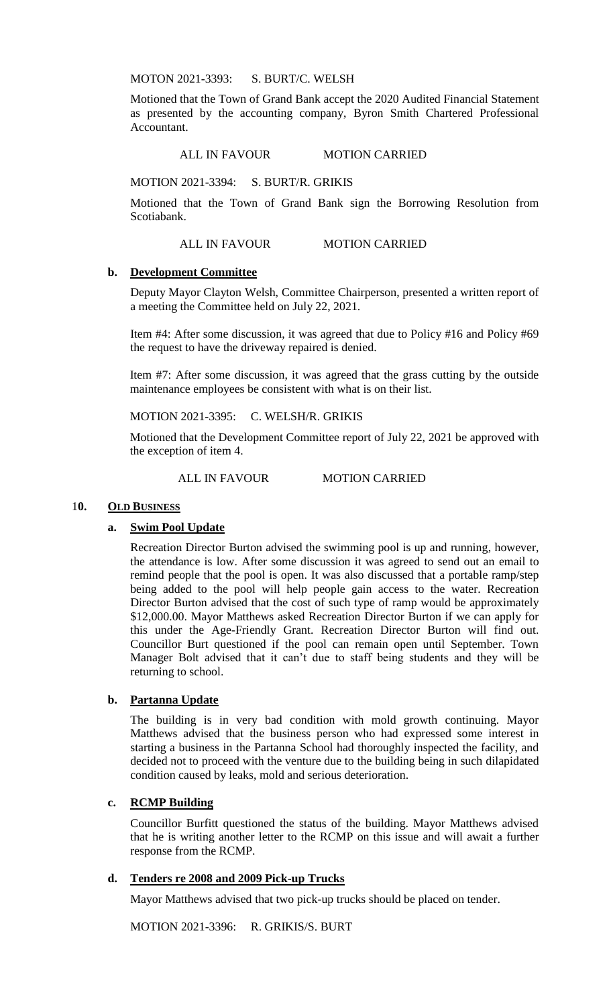MOTON 2021-3393: S. BURT/C. WELSH

Motioned that the Town of Grand Bank accept the 2020 Audited Financial Statement as presented by the accounting company, Byron Smith Chartered Professional Accountant.

ALL IN FAVOUR MOTION CARRIED

MOTION 2021-3394: S. BURT/R. GRIKIS

Motioned that the Town of Grand Bank sign the Borrowing Resolution from Scotiabank.

ALL IN FAVOUR MOTION CARRIED

#### **b. Development Committee**

Deputy Mayor Clayton Welsh, Committee Chairperson, presented a written report of a meeting the Committee held on July 22, 2021.

Item #4: After some discussion, it was agreed that due to Policy #16 and Policy #69 the request to have the driveway repaired is denied.

Item #7: After some discussion, it was agreed that the grass cutting by the outside maintenance employees be consistent with what is on their list.

MOTION 2021-3395: C. WELSH/R. GRIKIS

Motioned that the Development Committee report of July 22, 2021 be approved with the exception of item 4.

ALL IN FAVOUR MOTION CARRIED

#### 10. OLD BUSINESS

## **a. Swim Pool Update**

Recreation Director Burton advised the swimming pool is up and running, however, the attendance is low. After some discussion it was agreed to send out an email to remind people that the pool is open. It was also discussed that a portable ramp/step being added to the pool will help people gain access to the water. Recreation Director Burton advised that the cost of such type of ramp would be approximately \$12,000.00. Mayor Matthews asked Recreation Director Burton if we can apply for this under the Age-Friendly Grant. Recreation Director Burton will find out. Councillor Burt questioned if the pool can remain open until September. Town Manager Bolt advised that it can't due to staff being students and they will be returning to school.

## **b. Partanna Update**

The building is in very bad condition with mold growth continuing. Mayor Matthews advised that the business person who had expressed some interest in starting a business in the Partanna School had thoroughly inspected the facility, and decided not to proceed with the venture due to the building being in such dilapidated condition caused by leaks, mold and serious deterioration.

#### **c. RCMP Building**

Councillor Burfitt questioned the status of the building. Mayor Matthews advised that he is writing another letter to the RCMP on this issue and will await a further response from the RCMP.

### **d. Tenders re 2008 and 2009 Pick-up Trucks**

Mayor Matthews advised that two pick-up trucks should be placed on tender.

MOTION 2021-3396: R. GRIKIS/S. BURT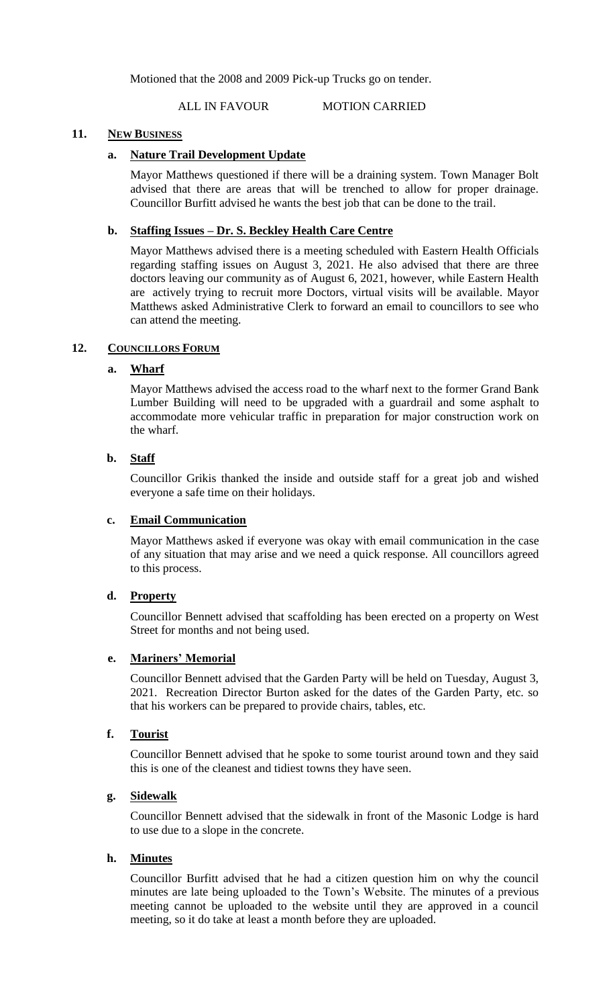Motioned that the 2008 and 2009 Pick-up Trucks go on tender.

ALL IN FAVOUR MOTION CARRIED

### **11. NEW BUSINESS**

### **a. Nature Trail Development Update**

Mayor Matthews questioned if there will be a draining system. Town Manager Bolt advised that there are areas that will be trenched to allow for proper drainage. Councillor Burfitt advised he wants the best job that can be done to the trail.

## **b. Staffing Issues – Dr. S. Beckley Health Care Centre**

Mayor Matthews advised there is a meeting scheduled with Eastern Health Officials regarding staffing issues on August 3, 2021. He also advised that there are three doctors leaving our community as of August 6, 2021, however, while Eastern Health are actively trying to recruit more Doctors, virtual visits will be available. Mayor Matthews asked Administrative Clerk to forward an email to councillors to see who can attend the meeting.

#### 12. **COUNCILLORS FORUM**

## **a. Wharf**

Mayor Matthews advised the access road to the wharf next to the former Grand Bank Lumber Building will need to be upgraded with a guardrail and some asphalt to accommodate more vehicular traffic in preparation for major construction work on the wharf.

#### **b. Staff**

Councillor Grikis thanked the inside and outside staff for a great job and wished everyone a safe time on their holidays.

#### **c. Email Communication**

Mayor Matthews asked if everyone was okay with email communication in the case of any situation that may arise and we need a quick response. All councillors agreed to this process.

## **d. Property**

Councillor Bennett advised that scaffolding has been erected on a property on West Street for months and not being used.

### **e. Mariners' Memorial**

Councillor Bennett advised that the Garden Party will be held on Tuesday, August 3, 2021. Recreation Director Burton asked for the dates of the Garden Party, etc. so that his workers can be prepared to provide chairs, tables, etc.

## **f. Tourist**

Councillor Bennett advised that he spoke to some tourist around town and they said this is one of the cleanest and tidiest towns they have seen.

#### **g. Sidewalk**

Councillor Bennett advised that the sidewalk in front of the Masonic Lodge is hard to use due to a slope in the concrete.

## **h. Minutes**

Councillor Burfitt advised that he had a citizen question him on why the council minutes are late being uploaded to the Town's Website. The minutes of a previous meeting cannot be uploaded to the website until they are approved in a council meeting, so it do take at least a month before they are uploaded.